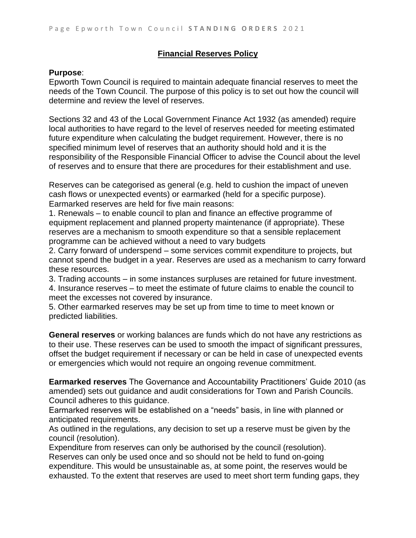## **Financial Reserves Policy**

## **Purpose**:

Epworth Town Council is required to maintain adequate financial reserves to meet the needs of the Town Council. The purpose of this policy is to set out how the council will determine and review the level of reserves.

Sections 32 and 43 of the Local Government Finance Act 1932 (as amended) require local authorities to have regard to the level of reserves needed for meeting estimated future expenditure when calculating the budget requirement. However, there is no specified minimum level of reserves that an authority should hold and it is the responsibility of the Responsible Financial Officer to advise the Council about the level of reserves and to ensure that there are procedures for their establishment and use.

Reserves can be categorised as general (e.g. held to cushion the impact of uneven cash flows or unexpected events) or earmarked (held for a specific purpose). Earmarked reserves are held for five main reasons:

1. Renewals – to enable council to plan and finance an effective programme of equipment replacement and planned property maintenance (if appropriate). These reserves are a mechanism to smooth expenditure so that a sensible replacement programme can be achieved without a need to vary budgets

2. Carry forward of underspend – some services commit expenditure to projects, but cannot spend the budget in a year. Reserves are used as a mechanism to carry forward these resources.

3. Trading accounts – in some instances surpluses are retained for future investment. 4. Insurance reserves – to meet the estimate of future claims to enable the council to meet the excesses not covered by insurance.

5. Other earmarked reserves may be set up from time to time to meet known or predicted liabilities.

**General reserves** or working balances are funds which do not have any restrictions as to their use. These reserves can be used to smooth the impact of significant pressures, offset the budget requirement if necessary or can be held in case of unexpected events or emergencies which would not require an ongoing revenue commitment.

**Earmarked reserves** The Governance and Accountability Practitioners' Guide 2010 (as amended) sets out guidance and audit considerations for Town and Parish Councils. Council adheres to this guidance.

Earmarked reserves will be established on a "needs" basis, in line with planned or anticipated requirements.

As outlined in the regulations, any decision to set up a reserve must be given by the council (resolution).

Expenditure from reserves can only be authorised by the council (resolution). Reserves can only be used once and so should not be held to fund on-going expenditure. This would be unsustainable as, at some point, the reserves would be exhausted. To the extent that reserves are used to meet short term funding gaps, they